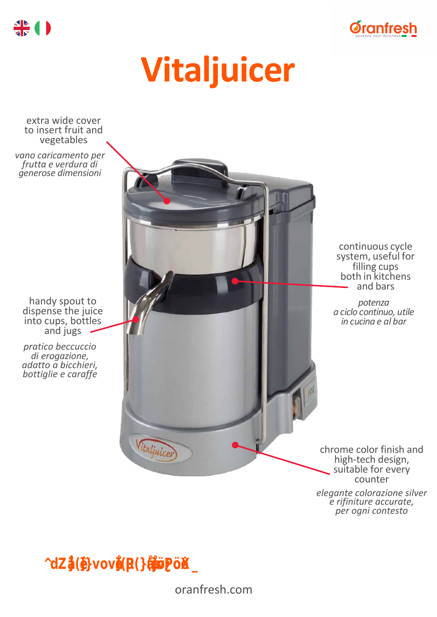

# **Vitaljuicer**

extra wide cover to insert fruit and vegetables

*vano caricamento per frutta e verdura di generose dimensioni*

handy spout to dispense the juice into cups, bottles and jugs

*pratico beccuccio di erogazione, adatto a bicchieri, bottiglie e caraffe*

continuous cycle system, useful for filling cups both in kitchens and bars

*potenza a ciclo continuo, utile in cucina e al bar*

chrome color finish and high-tech design, suitable for every counter

*elegante colorazione silver e rifiniture accurate, per ogni contesto*

*"The professional centrifuge for fruit and vegetables."*

Vitaljuicer

oranfresh.com